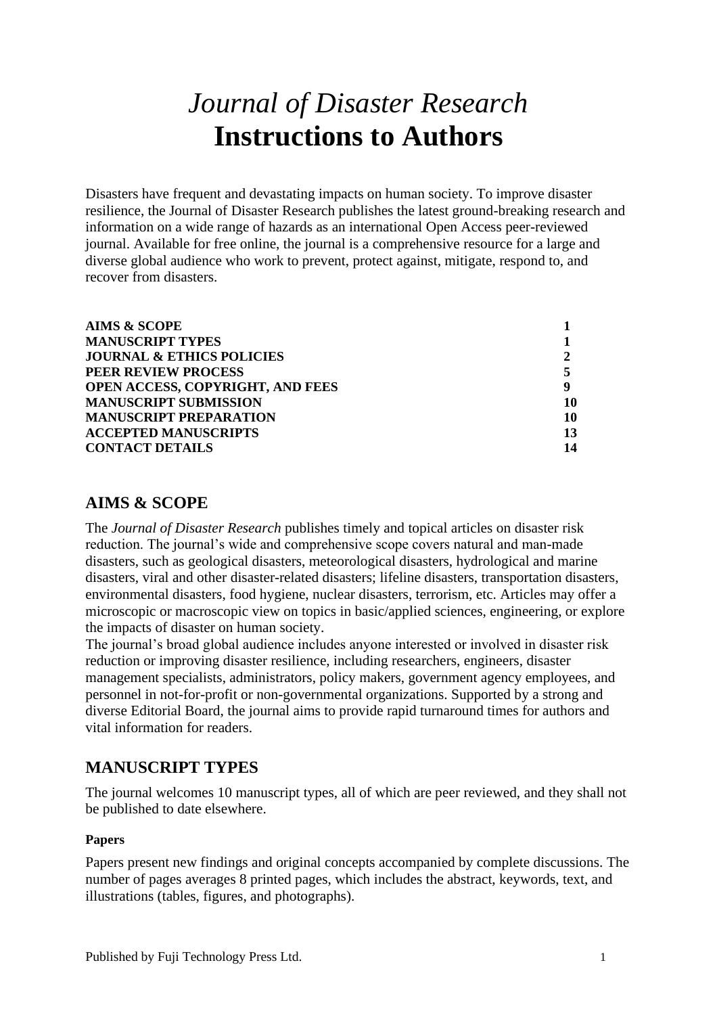# *Journal of Disaster Research* **Instructions to Authors**

Disasters have frequent and devastating impacts on human society. To improve disaster resilience, the Journal of Disaster Research publishes the latest ground-breaking research and information on a wide range of hazards as an international Open Access peer-reviewed journal. Available for free online, the journal is a comprehensive resource for a large and diverse global audience who work to prevent, protect against, mitigate, respond to, and recover from disasters.

| Q  |
|----|
| 10 |
| 10 |
| 13 |
| 14 |
|    |

# <span id="page-0-0"></span>**AIMS & SCOPE**

The *Journal of Disaster Research* publishes timely and topical articles on disaster risk reduction. The journal's wide and comprehensive scope covers natural and man-made disasters, such as geological disasters, meteorological disasters, hydrological and marine disasters, viral and other disaster-related disasters; lifeline disasters, transportation disasters, environmental disasters, food hygiene, nuclear disasters, terrorism, etc. Articles may offer a microscopic or macroscopic view on topics in basic/applied sciences, engineering, or explore the impacts of disaster on human society.

The journal's broad global audience includes anyone interested or involved in disaster risk reduction or improving disaster resilience, including researchers, engineers, disaster management specialists, administrators, policy makers, government agency employees, and personnel in not-for-profit or non-governmental organizations. Supported by a strong and diverse Editorial Board, the journal aims to provide rapid turnaround times for authors and vital information for readers.

# <span id="page-0-1"></span>**MANUSCRIPT TYPES**

The journal welcomes 10 manuscript types, all of which are peer reviewed, and they shall not be published to date elsewhere.

# **Papers**

Papers present new findings and original concepts accompanied by complete discussions. The number of pages averages 8 printed pages, which includes the abstract, keywords, text, and illustrations (tables, figures, and photographs).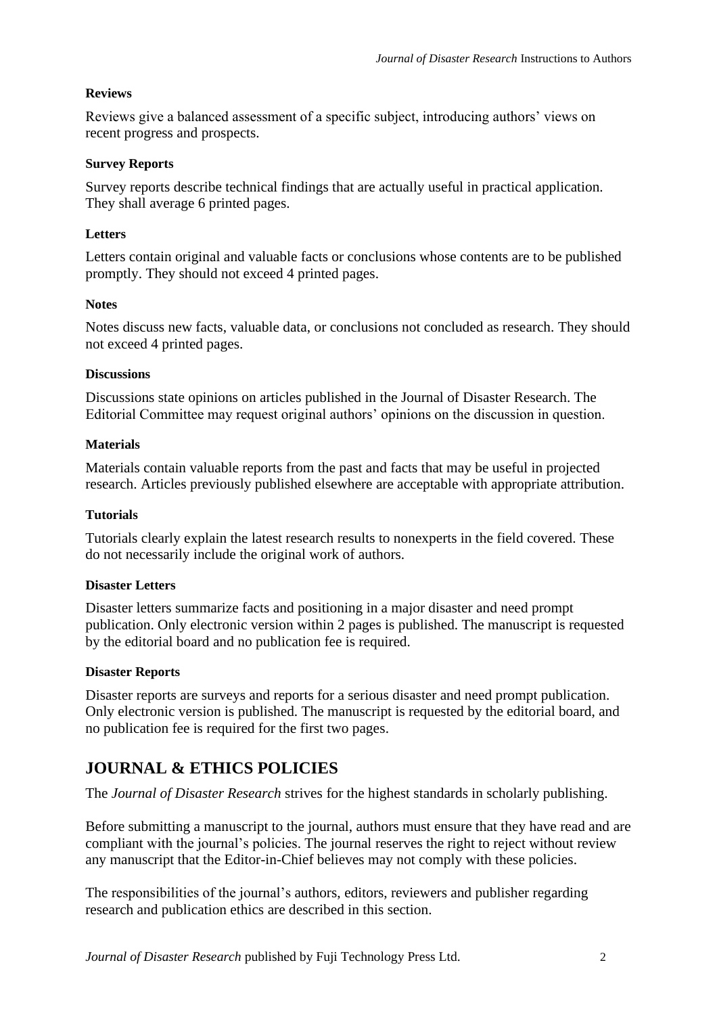# **Reviews**

Reviews give a balanced assessment of a specific subject, introducing authors' views on recent progress and prospects.

# **Survey Reports**

Survey reports describe technical findings that are actually useful in practical application. They shall average 6 printed pages.

# **Letters**

Letters contain original and valuable facts or conclusions whose contents are to be published promptly. They should not exceed 4 printed pages.

# **Notes**

Notes discuss new facts, valuable data, or conclusions not concluded as research. They should not exceed 4 printed pages.

# **Discussions**

Discussions state opinions on articles published in the Journal of Disaster Research. The Editorial Committee may request original authors' opinions on the discussion in question.

# **Materials**

Materials contain valuable reports from the past and facts that may be useful in projected research. Articles previously published elsewhere are acceptable with appropriate attribution.

#### **Tutorials**

Tutorials clearly explain the latest research results to nonexperts in the field covered. These do not necessarily include the original work of authors.

#### **Disaster Letters**

Disaster letters summarize facts and positioning in a major disaster and need prompt publication. Only electronic version within 2 pages is published. The manuscript is requested by the editorial board and no publication fee is required.

#### **Disaster Reports**

Disaster reports are surveys and reports for a serious disaster and need prompt publication. Only electronic version is published. The manuscript is requested by the editorial board, and no publication fee is required for the first two pages.

# <span id="page-1-0"></span>**JOURNAL & ETHICS POLICIES**

The *Journal of Disaster Research* strives for the highest standards in scholarly publishing.

Before submitting a manuscript to the journal, authors must ensure that they have read and are compliant with the journal's policies. The journal reserves the right to reject without review any manuscript that the Editor-in-Chief believes may not comply with these policies.

The responsibilities of the journal's authors, editors, reviewers and publisher regarding research and publication ethics are described in this section.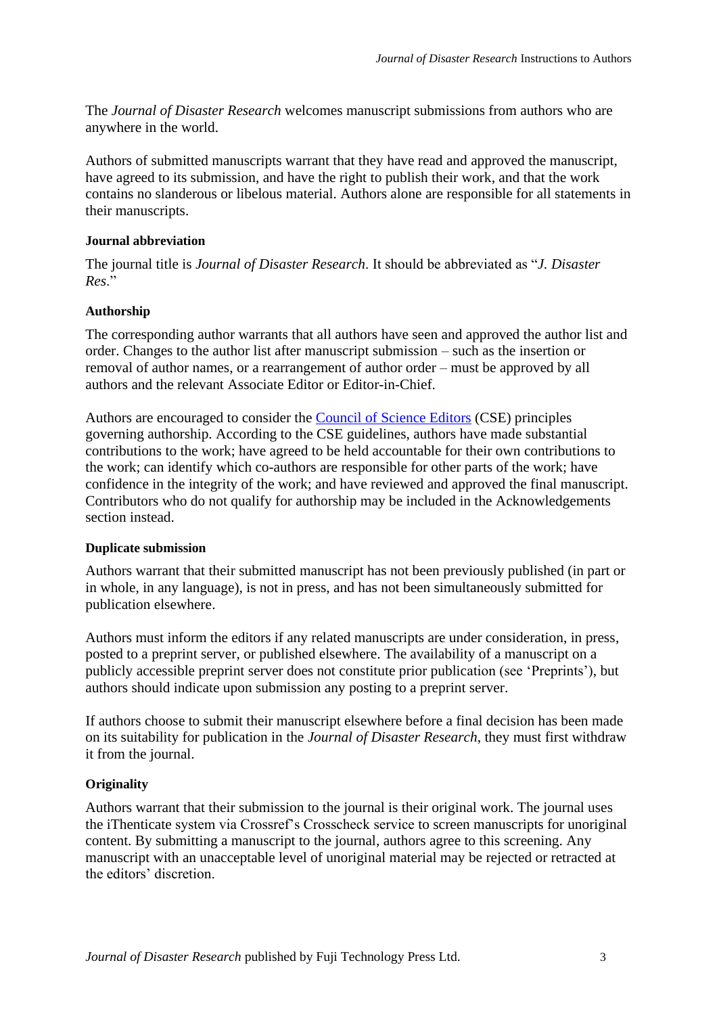The *Journal of Disaster Research* welcomes manuscript submissions from authors who are anywhere in the world.

Authors of submitted manuscripts warrant that they have read and approved the manuscript, have agreed to its submission, and have the right to publish their work, and that the work contains no slanderous or libelous material. Authors alone are responsible for all statements in their manuscripts.

# **Journal abbreviation**

The journal title is *Journal of Disaster Research*. It should be abbreviated as "*J. Disaster Res*."

# **Authorship**

The corresponding author warrants that all authors have seen and approved the author list and order. Changes to the author list after manuscript submission – such as the insertion or removal of author names, or a rearrangement of author order – must be approved by all authors and the relevant Associate Editor or Editor-in-Chief.

Authors are encouraged to consider the [Council of Science Editors](https://www.councilscienceeditors.org/resource-library/editorial-policies/white-paper-on-publication-ethics/2-2-authorship-and-authorship-responsibilities/) (CSE) principles governing authorship. According to the CSE guidelines, authors have made substantial contributions to the work; have agreed to be held accountable for their own contributions to the work; can identify which co-authors are responsible for other parts of the work; have confidence in the integrity of the work; and have reviewed and approved the final manuscript. Contributors who do not qualify for authorship may be included in the Acknowledgements section instead.

#### **Duplicate submission**

Authors warrant that their submitted manuscript has not been previously published (in part or in whole, in any language), is not in press, and has not been simultaneously submitted for publication elsewhere.

Authors must inform the editors if any related manuscripts are under consideration, in press, posted to a preprint server, or published elsewhere. The availability of a manuscript on a publicly accessible preprint server does not constitute prior publication (see 'Preprints'), but authors should indicate upon submission any posting to a preprint server.

If authors choose to submit their manuscript elsewhere before a final decision has been made on its suitability for publication in the *Journal of Disaster Research*, they must first withdraw it from the journal.

# **Originality**

Authors warrant that their submission to the journal is their original work. The journal uses the iThenticate system via Crossref's Crosscheck service to screen manuscripts for unoriginal content. By submitting a manuscript to the journal, authors agree to this screening. Any manuscript with an unacceptable level of unoriginal material may be rejected or retracted at the editors' discretion.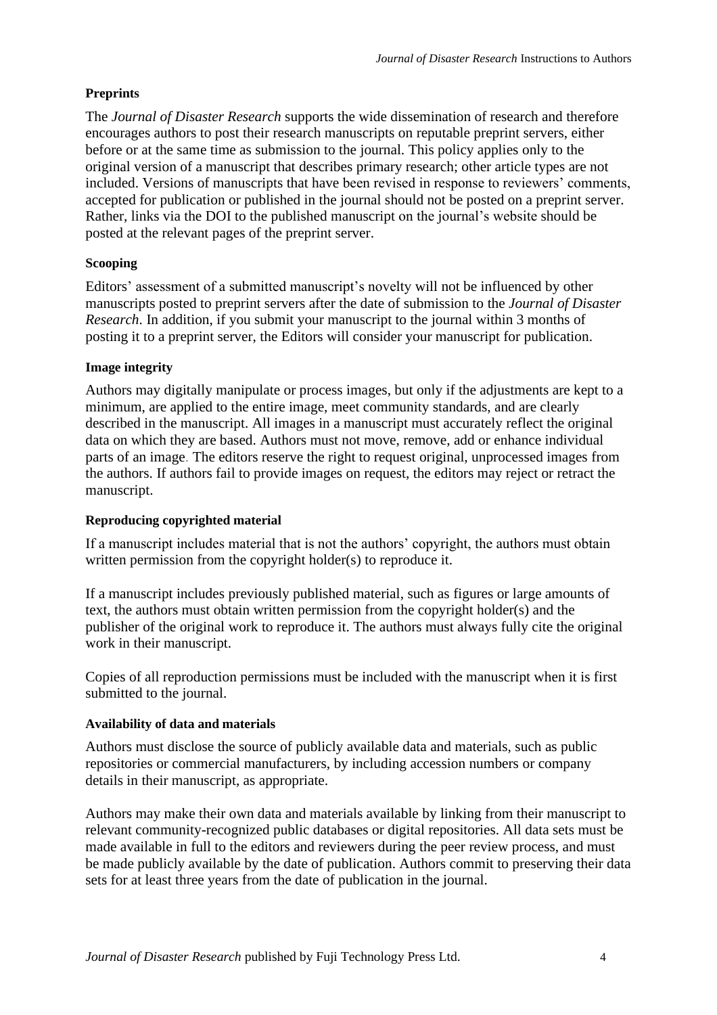# **Preprints**

The *Journal of Disaster Research* supports the wide dissemination of research and therefore encourages authors to post their research manuscripts on reputable preprint servers, either before or at the same time as submission to the journal. This policy applies only to the original version of a manuscript that describes primary research; other article types are not included. Versions of manuscripts that have been revised in response to reviewers' comments, accepted for publication or published in the journal should not be posted on a preprint server. Rather, links via the DOI to the published manuscript on the journal's website should be posted at the relevant pages of the preprint server.

# **Scooping**

Editors' assessment of a submitted manuscript's novelty will not be influenced by other manuscripts posted to preprint servers after the date of submission to the *Journal of Disaster Research*. In addition, if you submit your manuscript to the journal within 3 months of posting it to a preprint server, the Editors will consider your manuscript for publication.

# **Image integrity**

Authors may digitally manipulate or process images, but only if the adjustments are kept to a minimum, are applied to the entire image, meet community standards, and are clearly described in the manuscript. All images in a manuscript must accurately reflect the original data on which they are based. Authors must not move, remove, add or enhance individual parts of an image. The editors reserve the right to request original, unprocessed images from the authors. If authors fail to provide images on request, the editors may reject or retract the manuscript.

# **Reproducing copyrighted material**

If a manuscript includes material that is not the authors' copyright, the authors must obtain written permission from the copyright holder(s) to reproduce it.

If a manuscript includes previously published material, such as figures or large amounts of text, the authors must obtain written permission from the copyright holder(s) and the publisher of the original work to reproduce it. The authors must always fully cite the original work in their manuscript.

Copies of all reproduction permissions must be included with the manuscript when it is first submitted to the journal.

# **Availability of data and materials**

Authors must disclose the source of publicly available data and materials, such as public repositories or commercial manufacturers, by including accession numbers or company details in their manuscript, as appropriate.

Authors may make their own data and materials available by linking from their manuscript to relevant community-recognized public databases or digital repositories. All data sets must be made available in full to the editors and reviewers during the peer review process, and must be made publicly available by the date of publication. Authors commit to preserving their data sets for at least three years from the date of publication in the journal.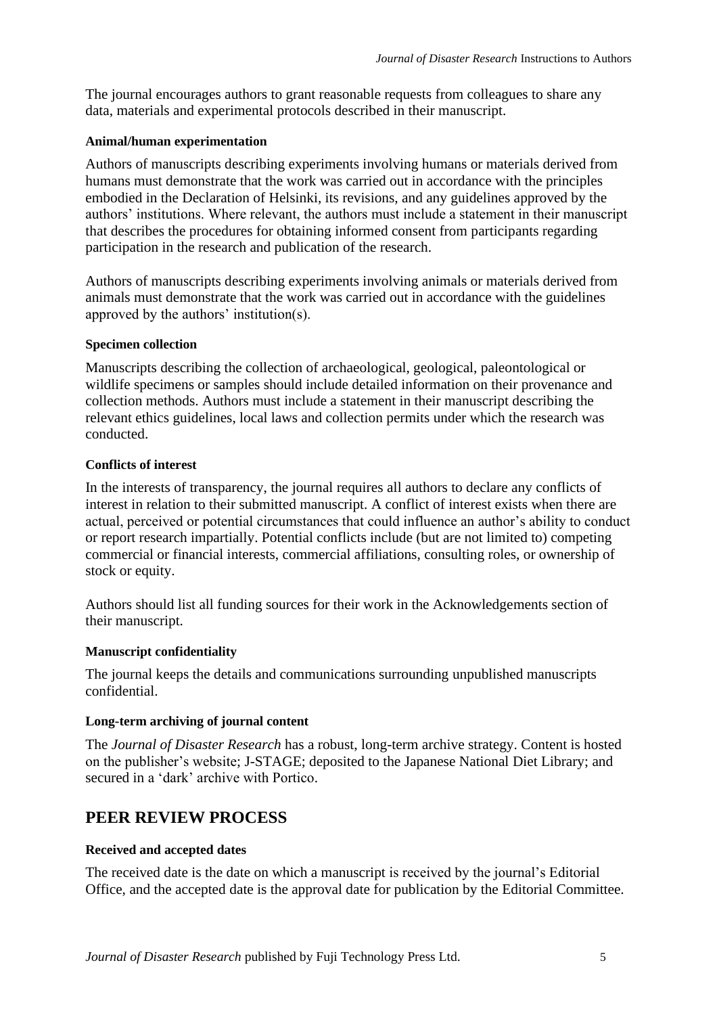The journal encourages authors to grant reasonable requests from colleagues to share any data, materials and experimental protocols described in their manuscript.

# **Animal/human experimentation**

Authors of manuscripts describing experiments involving humans or materials derived from humans must demonstrate that the work was carried out in accordance with the principles embodied in the Declaration of Helsinki, its revisions, and any guidelines approved by the authors' institutions. Where relevant, the authors must include a statement in their manuscript that describes the procedures for obtaining informed consent from participants regarding participation in the research and publication of the research.

Authors of manuscripts describing experiments involving animals or materials derived from animals must demonstrate that the work was carried out in accordance with the guidelines approved by the authors' institution(s).

# **Specimen collection**

Manuscripts describing the collection of archaeological, geological, paleontological or wildlife specimens or samples should include detailed information on their provenance and collection methods. Authors must include a statement in their manuscript describing the relevant ethics guidelines, local laws and collection permits under which the research was conducted.

# **Conflicts of interest**

In the interests of transparency, the journal requires all authors to declare any conflicts of interest in relation to their submitted manuscript. A conflict of interest exists when there are actual, perceived or potential circumstances that could influence an author's ability to conduct or report research impartially. Potential conflicts include (but are not limited to) competing commercial or financial interests, commercial affiliations, consulting roles, or ownership of stock or equity.

Authors should list all funding sources for their work in the Acknowledgements section of their manuscript.

# **Manuscript confidentiality**

The journal keeps the details and communications surrounding unpublished manuscripts confidential.

# **Long-term archiving of journal content**

The *Journal of Disaster Research* has a robust, long-term archive strategy. Content is hosted on the publisher's website; J-STAGE; deposited to the Japanese National Diet Library; and secured in a 'dark' archive with Portico.

# <span id="page-4-0"></span>**PEER REVIEW PROCESS**

#### **Received and accepted dates**

The received date is the date on which a manuscript is received by the journal's Editorial Office, and the accepted date is the approval date for publication by the Editorial Committee.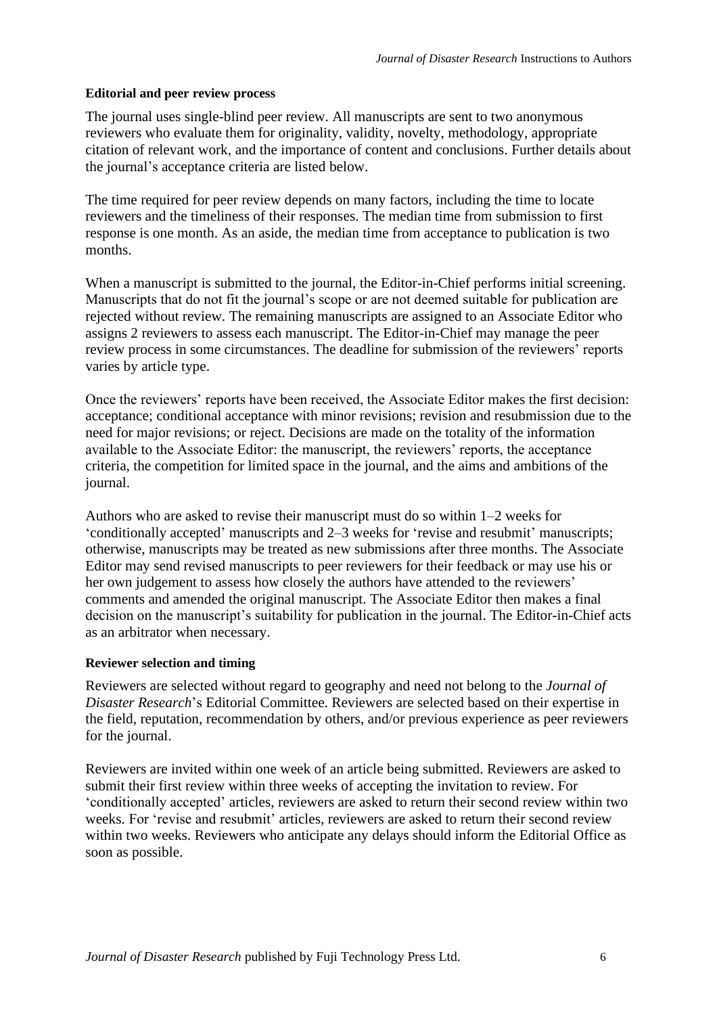# **Editorial and peer review process**

The journal uses single-blind peer review. All manuscripts are sent to two anonymous reviewers who evaluate them for originality, validity, novelty, methodology, appropriate citation of relevant work, and the importance of content and conclusions. Further details about the journal's acceptance criteria are listed below.

The time required for peer review depends on many factors, including the time to locate reviewers and the timeliness of their responses. The median time from submission to first response is one month. As an aside, the median time from acceptance to publication is two months.

When a manuscript is submitted to the journal, the Editor-in-Chief performs initial screening. Manuscripts that do not fit the journal's scope or are not deemed suitable for publication are rejected without review. The remaining manuscripts are assigned to an Associate Editor who assigns 2 reviewers to assess each manuscript. The Editor-in-Chief may manage the peer review process in some circumstances. The deadline for submission of the reviewers' reports varies by article type.

Once the reviewers' reports have been received, the Associate Editor makes the first decision: acceptance; conditional acceptance with minor revisions; revision and resubmission due to the need for major revisions; or reject. Decisions are made on the totality of the information available to the Associate Editor: the manuscript, the reviewers' reports, the acceptance criteria, the competition for limited space in the journal, and the aims and ambitions of the journal.

Authors who are asked to revise their manuscript must do so within 1–2 weeks for 'conditionally accepted' manuscripts and 2–3 weeks for 'revise and resubmit' manuscripts; otherwise, manuscripts may be treated as new submissions after three months. The Associate Editor may send revised manuscripts to peer reviewers for their feedback or may use his or her own judgement to assess how closely the authors have attended to the reviewers' comments and amended the original manuscript. The Associate Editor then makes a final decision on the manuscript's suitability for publication in the journal. The Editor-in-Chief acts as an arbitrator when necessary.

# **Reviewer selection and timing**

Reviewers are selected without regard to geography and need not belong to the *Journal of Disaster Research*'s Editorial Committee. Reviewers are selected based on their expertise in the field, reputation, recommendation by others, and/or previous experience as peer reviewers for the journal.

Reviewers are invited within one week of an article being submitted. Reviewers are asked to submit their first review within three weeks of accepting the invitation to review. For 'conditionally accepted' articles, reviewers are asked to return their second review within two weeks. For 'revise and resubmit' articles, reviewers are asked to return their second review within two weeks. Reviewers who anticipate any delays should inform the Editorial Office as soon as possible.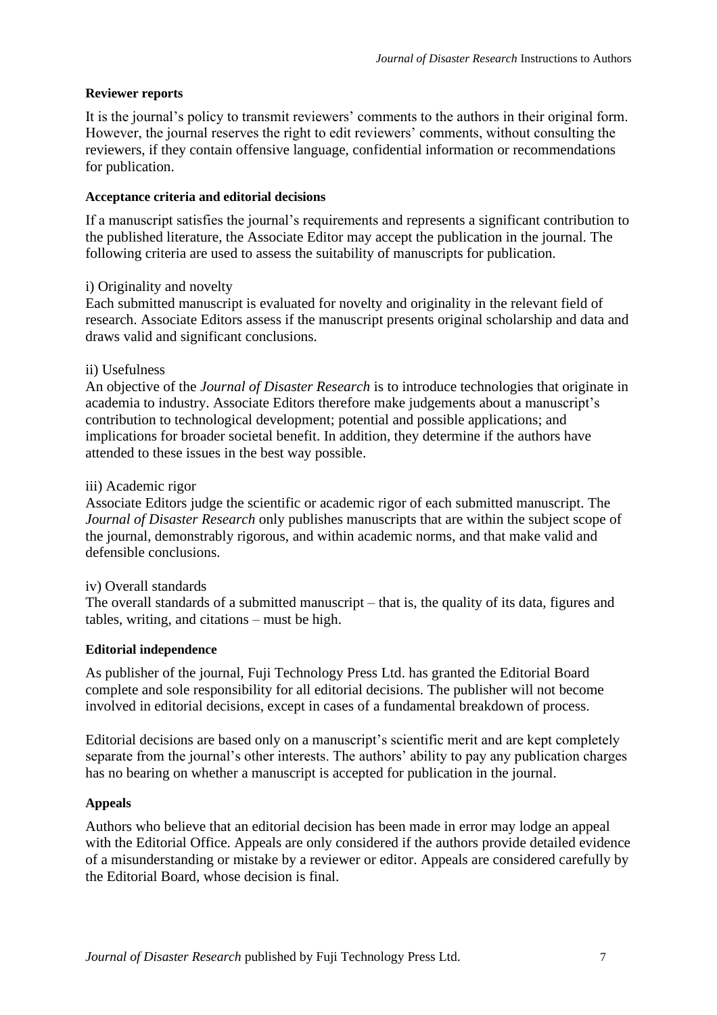# **Reviewer reports**

It is the journal's policy to transmit reviewers' comments to the authors in their original form. However, the journal reserves the right to edit reviewers' comments, without consulting the reviewers, if they contain offensive language, confidential information or recommendations for publication.

# **Acceptance criteria and editorial decisions**

If a manuscript satisfies the journal's requirements and represents a significant contribution to the published literature, the Associate Editor may accept the publication in the journal. The following criteria are used to assess the suitability of manuscripts for publication.

# i) Originality and novelty

Each submitted manuscript is evaluated for novelty and originality in the relevant field of research. Associate Editors assess if the manuscript presents original scholarship and data and draws valid and significant conclusions.

# ii) Usefulness

An objective of the *Journal of Disaster Research* is to introduce technologies that originate in academia to industry. Associate Editors therefore make judgements about a manuscript's contribution to technological development; potential and possible applications; and implications for broader societal benefit. In addition, they determine if the authors have attended to these issues in the best way possible.

# iii) Academic rigor

Associate Editors judge the scientific or academic rigor of each submitted manuscript. The *Journal of Disaster Research* only publishes manuscripts that are within the subject scope of the journal, demonstrably rigorous, and within academic norms, and that make valid and defensible conclusions.

#### iv) Overall standards

The overall standards of a submitted manuscript – that is, the quality of its data, figures and tables, writing, and citations – must be high.

#### **Editorial independence**

As publisher of the journal, Fuji Technology Press Ltd. has granted the Editorial Board complete and sole responsibility for all editorial decisions. The publisher will not become involved in editorial decisions, except in cases of a fundamental breakdown of process.

Editorial decisions are based only on a manuscript's scientific merit and are kept completely separate from the journal's other interests. The authors' ability to pay any publication charges has no bearing on whether a manuscript is accepted for publication in the journal.

#### **Appeals**

Authors who believe that an editorial decision has been made in error may lodge an appeal with the Editorial Office. Appeals are only considered if the authors provide detailed evidence of a misunderstanding or mistake by a reviewer or editor. Appeals are considered carefully by the Editorial Board, whose decision is final.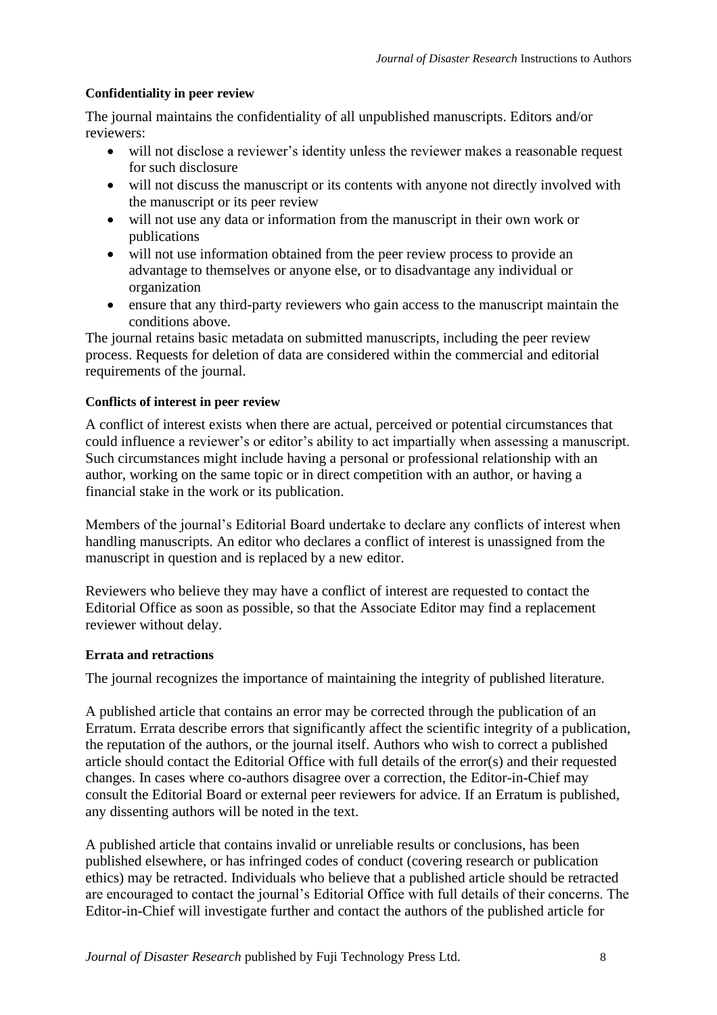# **Confidentiality in peer review**

The journal maintains the confidentiality of all unpublished manuscripts. Editors and/or reviewers:

- will not disclose a reviewer's identity unless the reviewer makes a reasonable request for such disclosure
- will not discuss the manuscript or its contents with anyone not directly involved with the manuscript or its peer review
- will not use any data or information from the manuscript in their own work or publications
- will not use information obtained from the peer review process to provide an advantage to themselves or anyone else, or to disadvantage any individual or organization
- ensure that any third-party reviewers who gain access to the manuscript maintain the conditions above.

The journal retains basic metadata on submitted manuscripts, including the peer review process. Requests for deletion of data are considered within the commercial and editorial requirements of the journal.

# **Conflicts of interest in peer review**

A conflict of interest exists when there are actual, perceived or potential circumstances that could influence a reviewer's or editor's ability to act impartially when assessing a manuscript. Such circumstances might include having a personal or professional relationship with an author, working on the same topic or in direct competition with an author, or having a financial stake in the work or its publication.

Members of the journal's Editorial Board undertake to declare any conflicts of interest when handling manuscripts. An editor who declares a conflict of interest is unassigned from the manuscript in question and is replaced by a new editor.

Reviewers who believe they may have a conflict of interest are requested to contact the Editorial Office as soon as possible, so that the Associate Editor may find a replacement reviewer without delay.

#### **Errata and retractions**

The journal recognizes the importance of maintaining the integrity of published literature.

A published article that contains an error may be corrected through the publication of an Erratum. Errata describe errors that significantly affect the scientific integrity of a publication, the reputation of the authors, or the journal itself. Authors who wish to correct a published article should contact the Editorial Office with full details of the error(s) and their requested changes. In cases where co-authors disagree over a correction, the Editor-in-Chief may consult the Editorial Board or external peer reviewers for advice. If an Erratum is published, any dissenting authors will be noted in the text.

A published article that contains invalid or unreliable results or conclusions, has been published elsewhere, or has infringed codes of conduct (covering research or publication ethics) may be retracted. Individuals who believe that a published article should be retracted are encouraged to contact the journal's Editorial Office with full details of their concerns. The Editor-in-Chief will investigate further and contact the authors of the published article for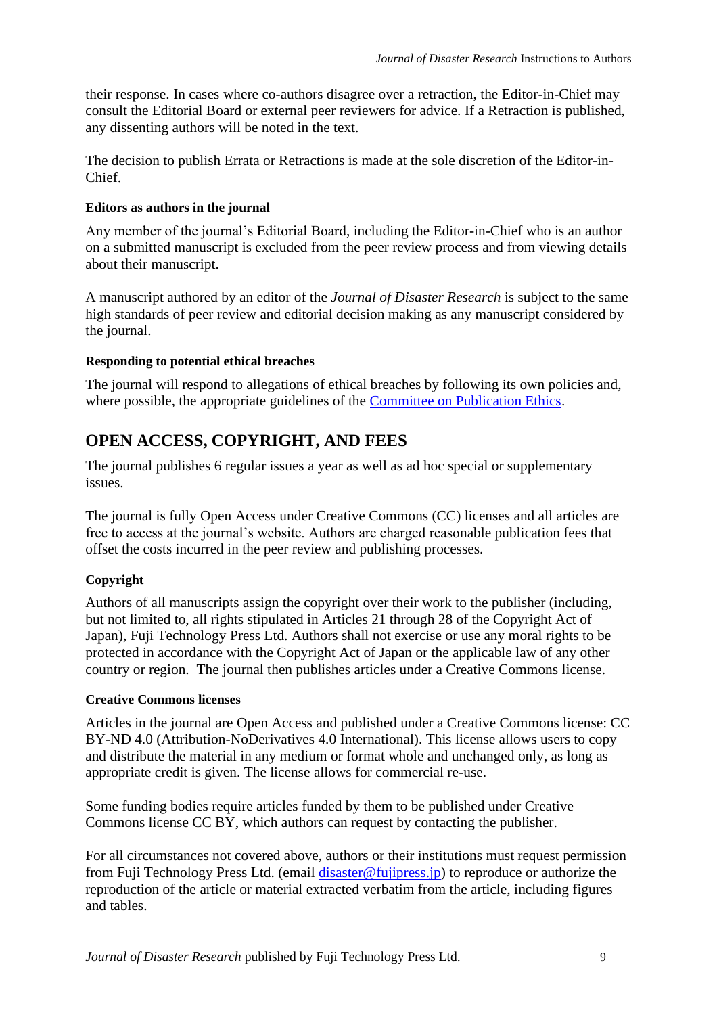their response. In cases where co-authors disagree over a retraction, the Editor-in-Chief may consult the Editorial Board or external peer reviewers for advice. If a Retraction is published, any dissenting authors will be noted in the text.

The decision to publish Errata or Retractions is made at the sole discretion of the Editor-in-Chief.

# **Editors as authors in the journal**

Any member of the journal's Editorial Board, including the Editor-in-Chief who is an author on a submitted manuscript is excluded from the peer review process and from viewing details about their manuscript.

A manuscript authored by an editor of the *Journal of Disaster Research* is subject to the same high standards of peer review and editorial decision making as any manuscript considered by the journal.

# **Responding to potential ethical breaches**

The journal will respond to allegations of ethical breaches by following its own policies and, where possible, the appropriate guidelines of the [Committee on Publication Ethics.](http://publicationethics.org/)

# <span id="page-8-0"></span>**OPEN ACCESS, COPYRIGHT, AND FEES**

The journal publishes 6 regular issues a year as well as ad hoc special or supplementary issues.

The journal is fully Open Access under Creative Commons (CC) licenses and all articles are free to access at the journal's website. Authors are charged reasonable publication fees that offset the costs incurred in the peer review and publishing processes.

# **Copyright**

Authors of all manuscripts assign the copyright over their work to the publisher (including, but not limited to, all rights stipulated in Articles 21 through 28 of the Copyright Act of Japan), Fuji Technology Press Ltd. Authors shall not exercise or use any moral rights to be protected in accordance with the Copyright Act of Japan or the applicable law of any other country or region. The journal then publishes articles under a Creative Commons license.

# **Creative Commons licenses**

Articles in the journal are Open Access and published under a Creative Commons license: CC BY-ND 4.0 (Attribution-NoDerivatives 4.0 International). This license allows users to copy and distribute the material in any medium or format whole and unchanged only, as long as appropriate credit is given. The license allows for commercial re-use.

Some funding bodies require articles funded by them to be published under Creative Commons license CC BY, which authors can request by contacting the publisher.

For all circumstances not covered above, authors or their institutions must request permission from Fuji Technology Press Ltd. (email *disaster@fujipress.jp*) to reproduce or authorize the reproduction of the article or material extracted verbatim from the article, including figures and tables.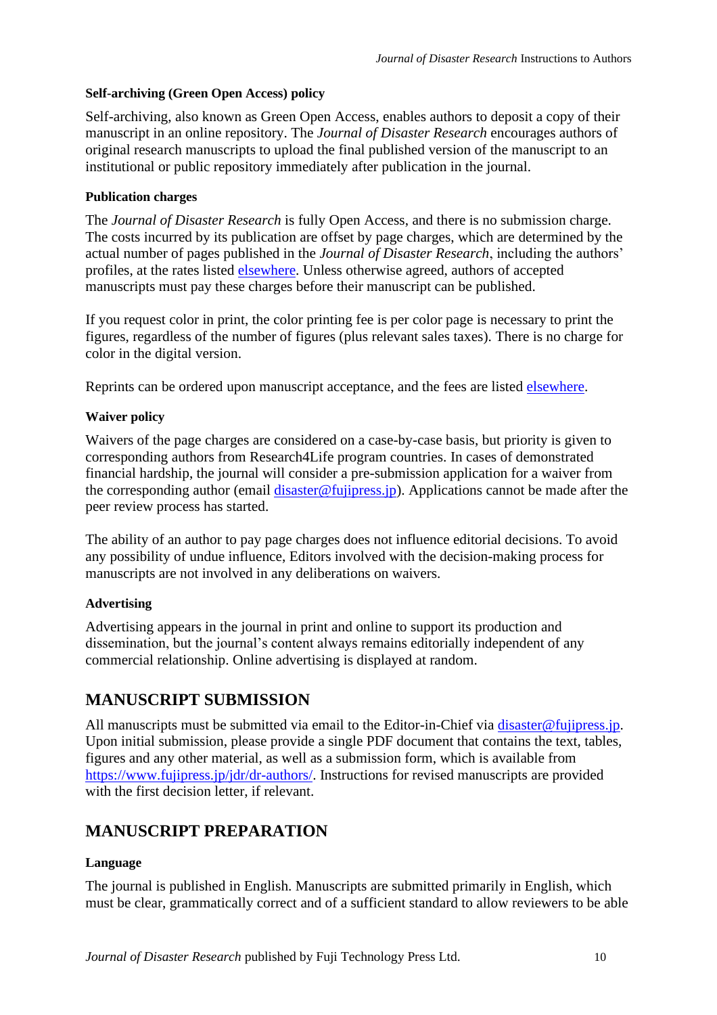# **Self-archiving (Green Open Access) policy**

Self-archiving, also known as Green Open Access, enables authors to deposit a copy of their manuscript in an online repository. The *Journal of Disaster Research* encourages authors of original research manuscripts to upload the final published version of the manuscript to an institutional or public repository immediately after publication in the journal.

# **Publication charges**

The *Journal of Disaster Research* is fully Open Access, and there is no submission charge. The costs incurred by its publication are offset by page charges, which are determined by the actual number of pages published in the *Journal of Disaster Research*, including the authors' profiles, at the rates listed [elsewhere.](https://www.fujipress.jp/jdr/dr-authors/#page_charge) Unless otherwise agreed, authors of accepted manuscripts must pay these charges before their manuscript can be published.

If you request color in print, the color printing fee is per color page is necessary to print the figures, regardless of the number of figures (plus relevant sales taxes). There is no charge for color in the digital version.

Reprints can be ordered upon manuscript acceptance, and the fees are listed [elsewhere.](https://www.fujipress.jp/jdr/dr-authors/#page_charge)

# **Waiver policy**

Waivers of the page charges are considered on a case-by-case basis, but priority is given to corresponding authors from Research4Life program countries. In cases of demonstrated financial hardship, the journal will consider a pre-submission application for a waiver from the corresponding author (email [disaster@fujipress.jp\)](mailto:disaster@fujipress.jp). Applications cannot be made after the peer review process has started.

The ability of an author to pay page charges does not influence editorial decisions. To avoid any possibility of undue influence, Editors involved with the decision-making process for manuscripts are not involved in any deliberations on waivers.

# **Advertising**

Advertising appears in the journal in print and online to support its production and dissemination, but the journal's content always remains editorially independent of any commercial relationship. Online advertising is displayed at random.

# <span id="page-9-0"></span>**MANUSCRIPT SUBMISSION**

All manuscripts must be submitted via email to the Editor-in-Chief via [disaster@fujipress.jp.](mailto:disaster@fujipress.jp) Upon initial submission, please provide a single PDF document that contains the text, tables, figures and any other material, as well as a submission form, which is available from [https://www.fujipress.jp/jdr/dr-authors/.](https://www.fujipress.jp/jdr/dr-authors/) Instructions for revised manuscripts are provided with the first decision letter, if relevant.

# <span id="page-9-1"></span>**MANUSCRIPT PREPARATION**

# **Language**

The journal is published in English. Manuscripts are submitted primarily in English, which must be clear, grammatically correct and of a sufficient standard to allow reviewers to be able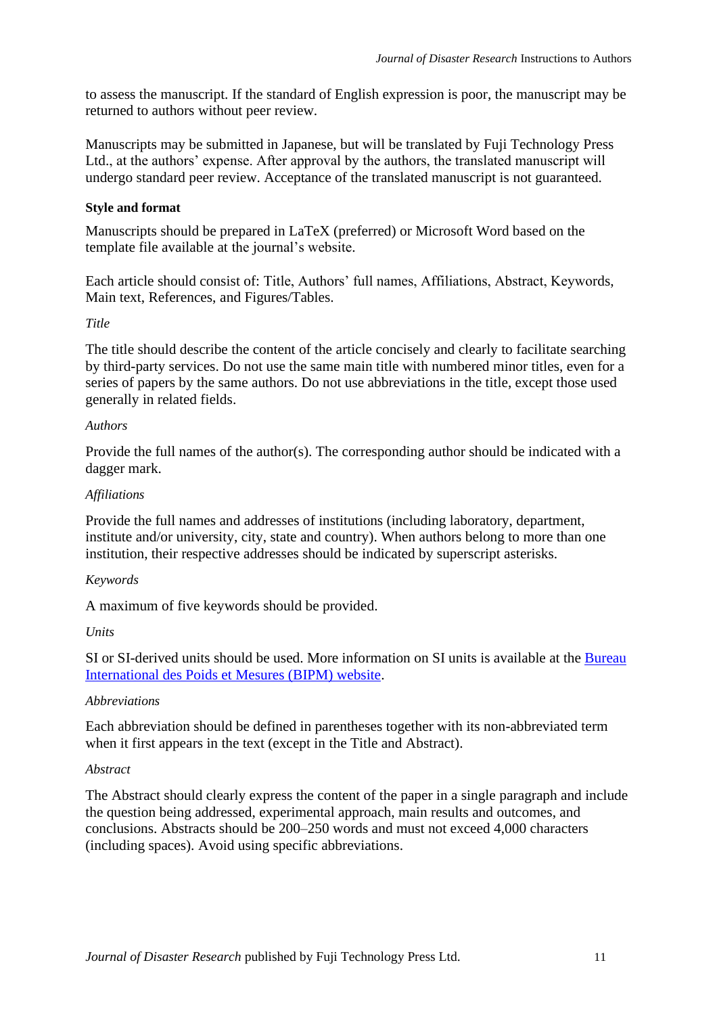to assess the manuscript. If the standard of English expression is poor, the manuscript may be returned to authors without peer review.

Manuscripts may be submitted in Japanese, but will be translated by Fuji Technology Press Ltd., at the authors' expense. After approval by the authors, the translated manuscript will undergo standard peer review. Acceptance of the translated manuscript is not guaranteed.

# **Style and format**

Manuscripts should be prepared in LaTeX (preferred) or Microsoft Word based on the template file available at the journal's website.

Each article should consist of: Title, Authors' full names, Affiliations, Abstract, Keywords, Main text, References, and Figures/Tables.

# *Title*

The title should describe the content of the article concisely and clearly to facilitate searching by third-party services. Do not use the same main title with numbered minor titles, even for a series of papers by the same authors. Do not use abbreviations in the title, except those used generally in related fields.

# *Authors*

Provide the full names of the author(s). The corresponding author should be indicated with a dagger mark.

# *Affiliations*

Provide the full names and addresses of institutions (including laboratory, department, institute and/or university, city, state and country). When authors belong to more than one institution, their respective addresses should be indicated by superscript asterisks.

# *Keywords*

A maximum of five keywords should be provided.

#### *Units*

SI or SI-derived units should be used. More information on SI units is available at the [Bureau](https://www.bipm.org/en/about-us/)  [International des Poids et Mesures \(BIPM\) website.](https://www.bipm.org/en/about-us/)

#### *Abbreviations*

Each abbreviation should be defined in parentheses together with its non-abbreviated term when it first appears in the text (except in the Title and Abstract).

#### *Abstract*

The Abstract should clearly express the content of the paper in a single paragraph and include the question being addressed, experimental approach, main results and outcomes, and conclusions. Abstracts should be 200–250 words and must not exceed 4,000 characters (including spaces). Avoid using specific abbreviations.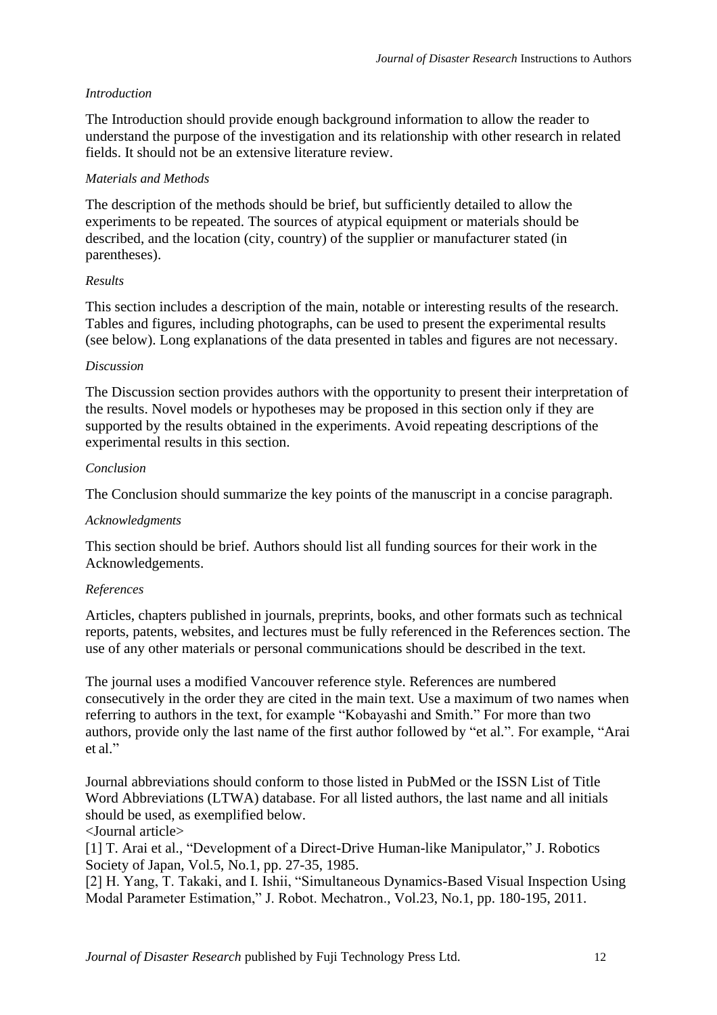# *Introduction*

The Introduction should provide enough background information to allow the reader to understand the purpose of the investigation and its relationship with other research in related fields. It should not be an extensive literature review.

# *Materials and Methods*

The description of the methods should be brief, but sufficiently detailed to allow the experiments to be repeated. The sources of atypical equipment or materials should be described, and the location (city, country) of the supplier or manufacturer stated (in parentheses).

# *Results*

This section includes a description of the main, notable or interesting results of the research. Tables and figures, including photographs, can be used to present the experimental results (see below). Long explanations of the data presented in tables and figures are not necessary.

# *Discussion*

The Discussion section provides authors with the opportunity to present their interpretation of the results. Novel models or hypotheses may be proposed in this section only if they are supported by the results obtained in the experiments. Avoid repeating descriptions of the experimental results in this section.

# *Conclusion*

The Conclusion should summarize the key points of the manuscript in a concise paragraph.

# *Acknowledgments*

This section should be brief. Authors should list all funding sources for their work in the Acknowledgements.

# *References*

Articles, chapters published in journals, preprints, books, and other formats such as technical reports, patents, websites, and lectures must be fully referenced in the References section. The use of any other materials or personal communications should be described in the text.

The journal uses a modified Vancouver reference style. References are numbered consecutively in the order they are cited in the main text. Use a maximum of two names when referring to authors in the text, for example "Kobayashi and Smith." For more than two authors, provide only the last name of the first author followed by "et al.". For example, "Arai et al."

Journal abbreviations should conform to those listed in PubMed or the ISSN List of Title Word Abbreviations (LTWA) database. For all listed authors, the last name and all initials should be used, as exemplified below.

<Journal article>

[1] T. Arai et al., "Development of a Direct-Drive Human-like Manipulator," J. Robotics Society of Japan, Vol.5, No.1, pp. 27-35, 1985.

[2] H. Yang, T. Takaki, and I. Ishii, "Simultaneous Dynamics-Based Visual Inspection Using Modal Parameter Estimation," J. Robot. Mechatron., Vol.23, No.1, pp. 180-195, 2011.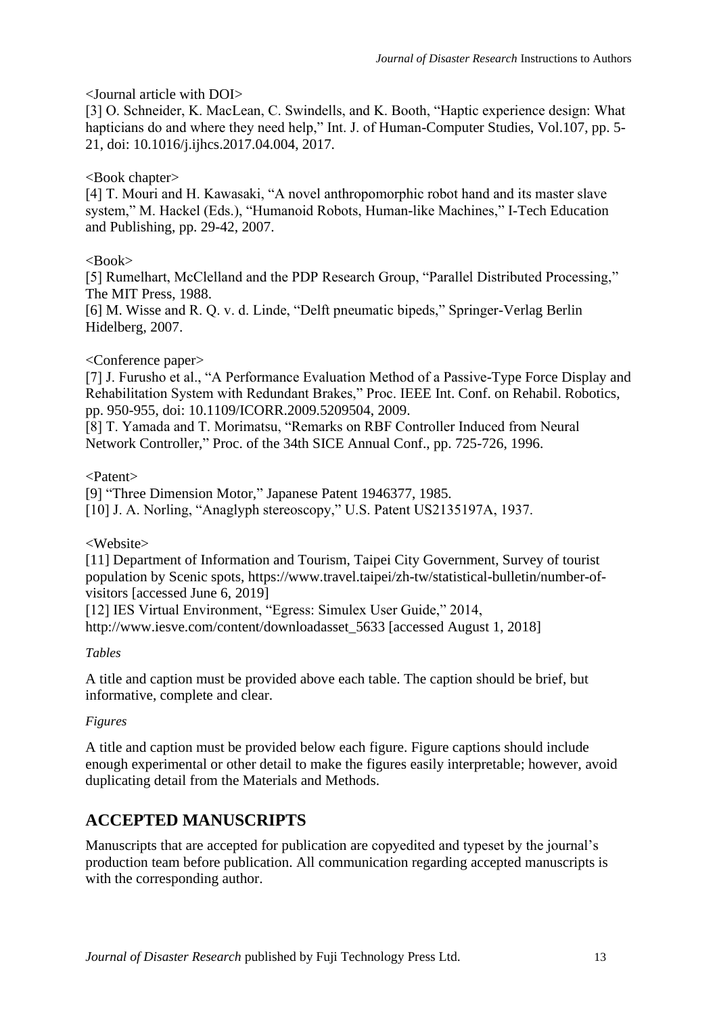# <Journal article with DOI>

[3] O. Schneider, K. MacLean, C. Swindells, and K. Booth, "Haptic experience design: What hapticians do and where they need help," Int. J. of Human-Computer Studies, Vol.107, pp. 5-21, doi: 10.1016/j.ijhcs.2017.04.004, 2017.

# <Book chapter>

[4] T. Mouri and H. Kawasaki, "A novel anthropomorphic robot hand and its master slave system," M. Hackel (Eds.), "Humanoid Robots, Human-like Machines," I-Tech Education and Publishing, pp. 29-42, 2007.

# $<$ Book $>$

[5] Rumelhart, McClelland and the PDP Research Group, "Parallel Distributed Processing," The MIT Press, 1988.

[6] M. Wisse and R. Q. v. d. Linde, "Delft pneumatic bipeds," Springer-Verlag Berlin Hidelberg, 2007.

# <Conference paper>

[7] J. Furusho et al., "A Performance Evaluation Method of a Passive-Type Force Display and Rehabilitation System with Redundant Brakes," Proc. IEEE Int. Conf. on Rehabil. Robotics, pp. 950-955, doi: 10.1109/ICORR.2009.5209504, 2009.

[8] T. Yamada and T. Morimatsu, "Remarks on RBF Controller Induced from Neural Network Controller," Proc. of the 34th SICE Annual Conf., pp. 725-726, 1996.

<Patent>

[9] "Three Dimension Motor," Japanese Patent 1946377, 1985.

[10] J. A. Norling, "Anaglyph stereoscopy," U.S. Patent US2135197A, 1937.

<Website>

[11] Department of Information and Tourism, Taipei City Government, Survey of tourist population by Scenic spots, https://www.travel.taipei/zh-tw/statistical-bulletin/number-ofvisitors [accessed June 6, 2019]

[12] IES Virtual Environment, "Egress: Simulex User Guide," 2014,

http://www.iesve.com/content/downloadasset\_5633 [accessed August 1, 2018]

*Tables*

A title and caption must be provided above each table. The caption should be brief, but informative, complete and clear.

# *Figures*

A title and caption must be provided below each figure. Figure captions should include enough experimental or other detail to make the figures easily interpretable; however, avoid duplicating detail from the Materials and Methods.

# <span id="page-12-0"></span>**ACCEPTED MANUSCRIPTS**

Manuscripts that are accepted for publication are copyedited and typeset by the journal's production team before publication. All communication regarding accepted manuscripts is with the corresponding author.